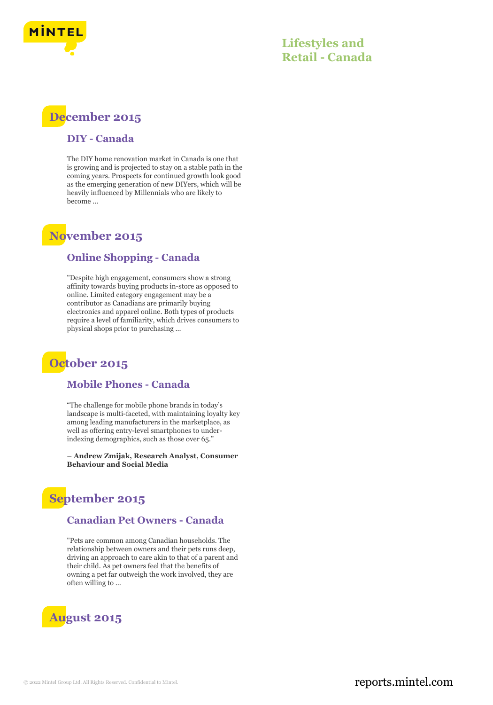

## **Lifestyles and Retail - Canada**



#### **DIY - Canada**

The DIY home renovation market in Canada is one that is growing and is projected to stay on a stable path in the coming years. Prospects for continued growth look good as the emerging generation of new DIYers, which will be heavily influenced by Millennials who are likely to become ...

## **November 2015**

#### **Online Shopping - Canada**

"Despite high engagement, consumers show a strong affinity towards buying products in-store as opposed to online. Limited category engagement may be a contributor as Canadians are primarily buying electronics and apparel online. Both types of products require a level of familiarity, which drives consumers to physical shops prior to purchasing ...

## **October 2015**

#### **Mobile Phones - Canada**

"The challenge for mobile phone brands in today's landscape is multi-faceted, with maintaining loyalty key among leading manufacturers in the marketplace, as well as offering entry-level smartphones to underindexing demographics, such as those over 65."

**– Andrew Zmijak, Research Analyst, Consumer Behaviour and Social Media**

## **September 2015**

#### **Canadian Pet Owners - Canada**

"Pets are common among Canadian households. The relationship between owners and their pets runs deep, driving an approach to care akin to that of a parent and their child. As pet owners feel that the benefits of owning a pet far outweigh the work involved, they are often willing to ...

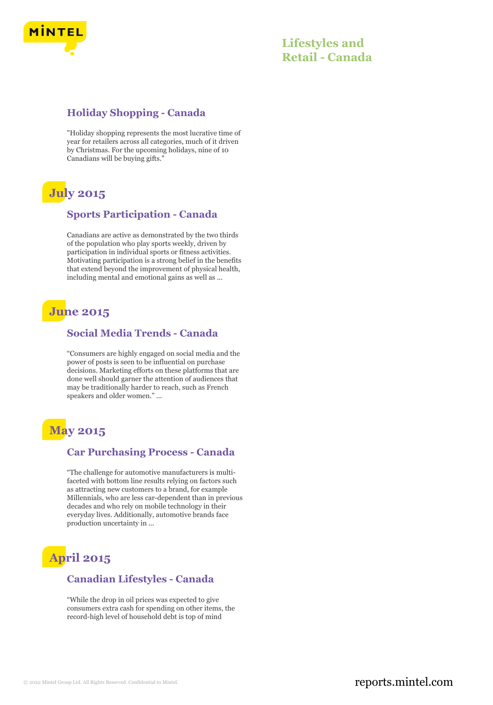

#### **Holiday Shopping - Canada**

"Holiday shopping represents the most lucrative time of year for retailers across all categories, much of it driven by Christmas. For the upcoming holidays, nine of 10 Canadians will be buying gifts."

# **July 2015**

#### **Sports Participation - Canada**

Canadians are active as demonstrated by the two thirds of the population who play sports weekly, driven by participation in individual sports or fitness activities. Motivating participation is a strong belief in the benefits that extend beyond the improvement of physical health, including mental and emotional gains as well as ...

# **June 2015**

#### **Social Media Trends - Canada**

"Consumers are highly engaged on social media and the power of posts is seen to be influential on purchase decisions. Marketing efforts on these platforms that are done well should garner the attention of audiences that may be traditionally harder to reach, such as French speakers and older women." ...

# **May 2015**

#### **Car Purchasing Process - Canada**

"The challenge for automotive manufacturers is multifaceted with bottom line results relying on factors such as attracting new customers to a brand, for example Millennials, who are less car-dependent than in previous decades and who rely on mobile technology in their everyday lives. Additionally, automotive brands face production uncertainty in ...

# **April 2015**

#### **Canadian Lifestyles - Canada**

"While the drop in oil prices was expected to give consumers extra cash for spending on other items, the record-high level of household debt is top of mind